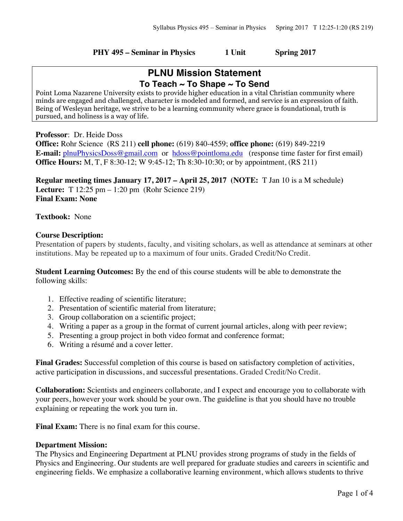#### **PHY 495 – Seminar in Physics 1 Unit Spring 2017**

# **PLNU Mission Statement To Teach ~ To Shape ~ To Send**

Point Loma Nazarene University exists to provide higher education in a vital Christian community where minds are engaged and challenged, character is modeled and formed, and service is an expression of faith. Being of Wesleyan heritage, we strive to be a learning community where grace is foundational, truth is pursued, and holiness is a way of life.

**Professor**: Dr. Heide Doss

**Office:** Rohr Science (RS 211) **cell phone:** (619) 840-4559; **office phone:** (619) 849-2219 **E-mail:** plnuPhysicsDoss@gmail.com or hdoss@pointloma.edu (response time faster for first email) **Office Hours:** M, T, F 8:30-12; W 9:45-12; Th 8:30-10:30; or by appointment, (RS 211)

**Regular meeting times January 17, 2017 – April 25, 2017 (NOTE:** T Jan 10 is a M schedule**) Lecture:** T 12:25 pm – 1:20 pm (Rohr Science 219) **Final Exam: None**

**Textbook:** None

# **Course Description:**

Presentation of papers by students, faculty, and visiting scholars, as well as attendance at seminars at other institutions. May be repeated up to a maximum of four units. Graded Credit/No Credit.

**Student Learning Outcomes:** By the end of this course students will be able to demonstrate the following skills:

- 1. Effective reading of scientific literature;
- 2. Presentation of scientific material from literature;
- 3. Group collaboration on a scientific project;
- 4. Writing a paper as a group in the format of current journal articles, along with peer review;
- 5. Presenting a group project in both video format and conference format;
- 6. Writing a résumé and a cover letter.

**Final Grades:** Successful completion of this course is based on satisfactory completion of activities, active participation in discussions, and successful presentations. Graded Credit/No Credit.

**Collaboration:** Scientists and engineers collaborate, and I expect and encourage you to collaborate with your peers, however your work should be your own. The guideline is that you should have no trouble explaining or repeating the work you turn in.

**Final Exam:** There is no final exam for this course.

#### **Department Mission:**

The Physics and Engineering Department at PLNU provides strong programs of study in the fields of Physics and Engineering. Our students are well prepared for graduate studies and careers in scientific and engineering fields. We emphasize a collaborative learning environment, which allows students to thrive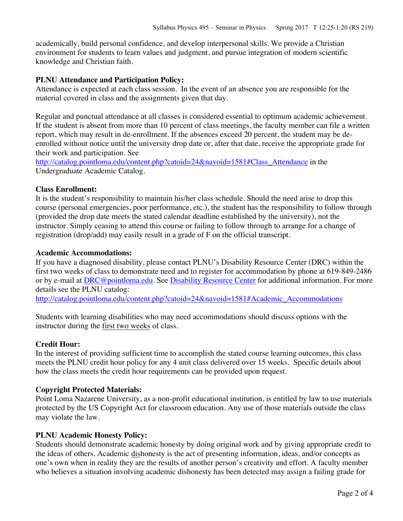academically, build personal confidence, and develop interpersonal skills. We provide a Christian environment for students to learn values and judgment, and pursue integration of modern scientific knowledge and Christian faith.

# **PLNU Attendance and Participation Policy:**

Attendance is expected at each class session. In the event of an absence you are responsible for the material covered in class and the assignments given that day.

Regular and punctual attendance at all classes is considered essential to optimum academic achievement. If the student is absent from more than 10 percent of class meetings, the faculty member can file a written report, which may result in de-enrollment. If the absences exceed 20 percent, the student may be deenrolled without notice until the university drop date or, after that date, receive the appropriate grade for their work and participation. See

http://catalog.pointloma.edu/content.php?catoid=24&navoid=1581#Class\_Attendance in the Undergraduate Academic Catalog.

#### **Class Enrollment:**

It is the student's responsibility to maintain his/her class schedule. Should the need arise to drop this course (personal emergencies, poor performance, etc.), the student has the responsibility to follow through (provided the drop date meets the stated calendar deadline established by the university), not the instructor. Simply ceasing to attend this course or failing to follow through to arrange for a change of registration (drop/add) may easily result in a grade of F on the official transcript.

#### **Academic Accommodations:**

If you have a diagnosed disability, please contact PLNU's Disability Resource Center (DRC) within the first two weeks of class to demonstrate need and to register for accommodation by phone at 619-849-2486 or by e-mail at DRC@pointloma.edu. See Disability Resource Center for additional information. For more details see the PLNU catalog:

http://catalog.pointloma.edu/content.php?catoid=24&navoid=1581#Academic\_Accommodations

Students with learning disabilities who may need accommodations should discuss options with the instructor during the first two weeks of class.

# **Credit Hour:**

In the interest of providing sufficient time to accomplish the stated course learning outcomes, this class meets the PLNU credit hour policy for any 4 unit class delivered over 15 weeks. Specific details about how the class meets the credit hour requirements can be provided upon request.

# **Copyright Protected Materials:**

Point Loma Nazarene University, as a non-profit educational institution, is entitled by law to use materials protected by the US Copyright Act for classroom education. Any use of those materials outside the class may violate the law.

# **PLNU Academic Honesty Policy:**

Students should demonstrate academic honesty by doing original work and by giving appropriate credit to the ideas of others. Academic dishonesty is the act of presenting information, ideas, and/or concepts as one's own when in reality they are the results of another person's creativity and effort. A faculty member who believes a situation involving academic dishonesty has been detected may assign a failing grade for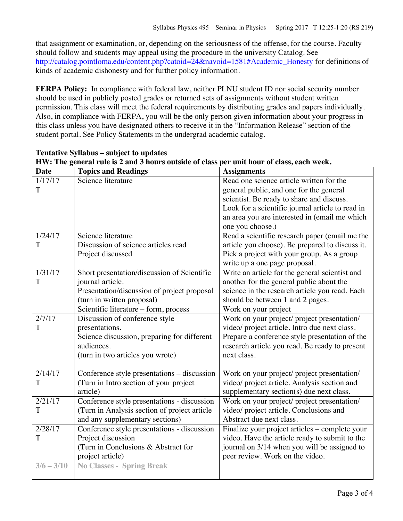that assignment or examination, or, depending on the seriousness of the offense, for the course. Faculty should follow and students may appeal using the procedure in the university Catalog. See http://catalog.pointloma.edu/content.php?catoid=24&navoid=1581#Academic\_Honesty for definitions of kinds of academic dishonesty and for further policy information.

**FERPA Policy:** In compliance with federal law, neither PLNU student ID nor social security number should be used in publicly posted grades or returned sets of assignments without student written permission. This class will meet the federal requirements by distributing grades and papers individually. Also, in compliance with FERPA, you will be the only person given information about your progress in this class unless you have designated others to receive it in the "Information Release" section of the student portal. See Policy Statements in the undergrad academic catalog.

| <b>Date</b>          | <b>Topics and Readings</b>                   | <b>Assignments</b>                               |
|----------------------|----------------------------------------------|--------------------------------------------------|
| $\frac{1}{1}$ /17/17 | Science literature                           | Read one science article written for the         |
| T                    |                                              | general public, and one for the general          |
|                      |                                              | scientist. Be ready to share and discuss.        |
|                      |                                              | Look for a scientific journal article to read in |
|                      |                                              | an area you are interested in (email me which    |
|                      |                                              | one you choose.)                                 |
| 1/24/17              | Science literature                           | Read a scientific research paper (email me the   |
| T                    | Discussion of science articles read          | article you choose). Be prepared to discuss it.  |
|                      | Project discussed                            | Pick a project with your group. As a group       |
|                      |                                              | write up a one page proposal.                    |
| $\overline{1/31/17}$ | Short presentation/discussion of Scientific  | Write an article for the general scientist and   |
| T                    | journal article.                             | another for the general public about the         |
|                      | Presentation/discussion of project proposal  | science in the research article you read. Each   |
|                      | (turn in written proposal)                   | should be between 1 and 2 pages.                 |
|                      | Scientific literature - form, process        | Work on your project                             |
| $\frac{2}{711}$      | Discussion of conference style               | Work on your project/ project presentation/      |
| T                    | presentations.                               | video/ project article. Intro due next class.    |
|                      | Science discussion, preparing for different  | Prepare a conference style presentation of the   |
|                      | audiences.                                   | research article you read. Be ready to present   |
|                      | (turn in two articles you wrote)             | next class.                                      |
|                      |                                              |                                                  |
| 2/14/17              | Conference style presentations - discussion  | Work on your project/ project presentation/      |
| T                    | (Turn in Intro section of your project       | video/ project article. Analysis section and     |
|                      | article)                                     | supplementary section(s) due next class.         |
| 2/21/17              | Conference style presentations - discussion  | Work on your project/ project presentation/      |
| T                    | (Turn in Analysis section of project article | video/ project article. Conclusions and          |
|                      | and any supplementary sections)              | Abstract due next class.                         |
| 2/28/17              | Conference style presentations - discussion  | Finalize your project articles – complete your   |
| T                    | Project discussion                           | video. Have the article ready to submit to the   |
|                      | (Turn in Conclusions & Abstract for          | journal on 3/14 when you will be assigned to     |
|                      | project article)                             | peer review. Work on the video.                  |
| $3/6 - 3/10$         | <b>No Classes - Spring Break</b>             |                                                  |
|                      |                                              |                                                  |

#### **Tentative Syllabus – subject to updates HW: The general rule is 2 and 3 hours outside of class per unit hour of class, each week.**